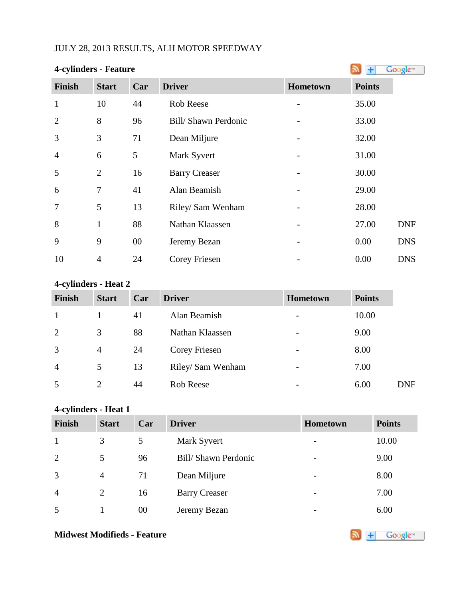# JULY 28, 2013 RESULTS, ALH MOTOR SPEEDWAY

| 4-cylinders - Feature |                |     |                      |          |               | Google <sup>®</sup> |
|-----------------------|----------------|-----|----------------------|----------|---------------|---------------------|
| <b>Finish</b>         | <b>Start</b>   | Car | <b>Driver</b>        | Hometown | <b>Points</b> |                     |
| $\mathbf{1}$          | 10             | 44  | <b>Rob Reese</b>     |          | 35.00         |                     |
| $\overline{2}$        | 8              | 96  | Bill/Shawn Perdonic  |          | 33.00         |                     |
| 3                     | 3              | 71  | Dean Miljure         |          | 32.00         |                     |
| $\overline{4}$        | 6              | 5   | Mark Syvert          |          | 31.00         |                     |
| 5                     | $\overline{2}$ | 16  | <b>Barry Creaser</b> |          | 30.00         |                     |
| 6                     | $\overline{7}$ | 41  | Alan Beamish         |          | 29.00         |                     |
| $\overline{7}$        | 5              | 13  | Riley/ Sam Wenham    |          | 28.00         |                     |
| 8                     | 1              | 88  | Nathan Klaassen      |          | 27.00         | <b>DNF</b>          |
| 9                     | 9              | 00  | Jeremy Bezan         |          | 0.00          | <b>DNS</b>          |
| 10                    | $\overline{4}$ | 24  | <b>Corey Friesen</b> |          | 0.00          | <b>DNS</b>          |

# **4-cylinders - Heat 2**

| <b>Finish</b>  | <b>Start</b>   | Car | <b>Driver</b>     | Hometown                 | <b>Points</b> |            |
|----------------|----------------|-----|-------------------|--------------------------|---------------|------------|
|                |                | 41  | Alan Beamish      | $\overline{\phantom{a}}$ | 10.00         |            |
| 2              | 3              | 88  | Nathan Klaassen   | $\overline{\phantom{a}}$ | 9.00          |            |
| 3              | $\overline{4}$ | 24  | Corey Friesen     | $\overline{\phantom{a}}$ | 8.00          |            |
| $\overline{4}$ | 5              | 13  | Riley/ Sam Wenham | $\overline{\phantom{a}}$ | 7.00          |            |
| 5              | 2              | 44  | Rob Reese         | $\overline{\phantom{a}}$ | 6.00          | <b>DNF</b> |

# **4-cylinders - Heat 1**

| Finish         | <b>Start</b>   | Car | <b>Driver</b>        | Hometown                 | <b>Points</b> |
|----------------|----------------|-----|----------------------|--------------------------|---------------|
| 1              | 3              | 5   | Mark Syvert          | $\overline{\phantom{a}}$ | 10.00         |
| 2              | 5              | 96  | Bill/Shawn Perdonic  | $\overline{\phantom{0}}$ | 9.00          |
| 3              | $\overline{4}$ | 71  | Dean Miljure         | $\overline{\phantom{0}}$ | 8.00          |
| $\overline{4}$ | 2              | 16  | <b>Barry Creaser</b> | $\overline{\phantom{a}}$ | 7.00          |
| 5              |                | 00  | Jeremy Bezan         | $\overline{\phantom{0}}$ | 6.00          |

# **Midwest Modifieds - Feature**

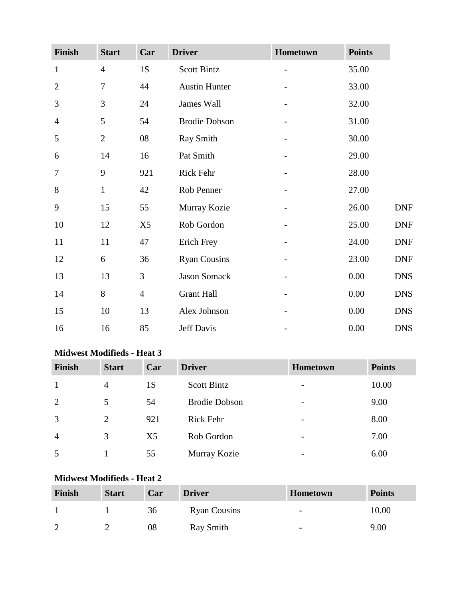| Finish         | <b>Start</b>   | Car            | <b>Driver</b>        | Hometown                 | <b>Points</b> |            |
|----------------|----------------|----------------|----------------------|--------------------------|---------------|------------|
| $\mathbf{1}$   | $\overline{4}$ | 1S             | Scott Bintz          |                          | 35.00         |            |
| $\overline{2}$ | $\overline{7}$ | 44             | <b>Austin Hunter</b> |                          | 33.00         |            |
| 3              | 3              | 24             | James Wall           |                          | 32.00         |            |
| $\overline{4}$ | 5              | 54             | <b>Brodie Dobson</b> |                          | 31.00         |            |
| 5              | $\overline{2}$ | 08             | Ray Smith            | $\overline{\phantom{0}}$ | 30.00         |            |
| 6              | 14             | 16             | Pat Smith            |                          | 29.00         |            |
| 7              | 9              | 921            | Rick Fehr            |                          | 28.00         |            |
| $8\,$          | $\mathbf{1}$   | 42             | Rob Penner           |                          | 27.00         |            |
| 9              | 15             | 55             | Murray Kozie         |                          | 26.00         | <b>DNF</b> |
| 10             | 12             | X <sub>5</sub> | Rob Gordon           |                          | 25.00         | <b>DNF</b> |
| 11             | 11             | 47             | Erich Frey           |                          | 24.00         | <b>DNF</b> |
| 12             | 6              | 36             | <b>Ryan Cousins</b>  |                          | 23.00         | <b>DNF</b> |
| 13             | 13             | 3              | Jason Somack         |                          | 0.00          | <b>DNS</b> |
| 14             | 8              | $\overline{4}$ | <b>Grant Hall</b>    |                          | 0.00          | <b>DNS</b> |
| 15             | 10             | 13             | Alex Johnson         |                          | 0.00          | <b>DNS</b> |
| 16             | 16             | 85             | Jeff Davis           |                          | 0.00          | <b>DNS</b> |

#### **Midwest Modifieds - Heat 3**

| <b>Finish</b>  | <b>Start</b>   | Car | <b>Driver</b>        | <b>Hometown</b>          | <b>Points</b> |
|----------------|----------------|-----|----------------------|--------------------------|---------------|
| 1              | $\overline{4}$ | 1S  | <b>Scott Bintz</b>   | $\overline{\phantom{a}}$ | 10.00         |
| 2              | 5              | 54  | <b>Brodie Dobson</b> | $\overline{\phantom{0}}$ | 9.00          |
| 3              | 2              | 921 | <b>Rick Fehr</b>     | $\overline{\phantom{0}}$ | 8.00          |
| $\overline{4}$ | 3              | X5  | Rob Gordon           | $\overline{\phantom{a}}$ | 7.00          |
| 5              |                | 55  | Murray Kozie         | $\overline{\phantom{0}}$ | 6.00          |

### **Midwest Modifieds - Heat 2**

| Finish | <b>Start</b> | Car | <b>Driver</b>       | <b>Hometown</b>          | <b>Points</b> |
|--------|--------------|-----|---------------------|--------------------------|---------------|
|        |              | 36  | <b>Ryan Cousins</b> | $\overline{\phantom{a}}$ | 10.00         |
| ി      |              | 08  | Ray Smith           | $\overline{\phantom{0}}$ | 9.00          |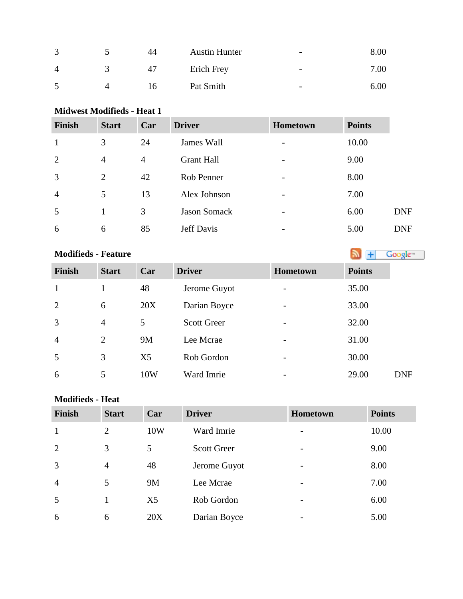| ◠ | 44 | <b>Austin Hunter</b> | $\overline{\phantom{0}}$ | 8.00 |
|---|----|----------------------|--------------------------|------|
| Δ | 47 | Erich Frey           | $\overline{\phantom{0}}$ | 7.00 |
|   | I6 | Pat Smith            | $\overline{\phantom{0}}$ | 6.00 |

### **Midwest Modifieds - Heat 1**

| <b>Finish</b>  | <b>Start</b>   | Car            | <b>Driver</b>       | <b>Hometown</b> | <b>Points</b> |            |
|----------------|----------------|----------------|---------------------|-----------------|---------------|------------|
| 1              | 3              | 24             | James Wall          |                 | 10.00         |            |
| $\overline{2}$ | $\overline{4}$ | $\overline{4}$ | <b>Grant Hall</b>   |                 | 9.00          |            |
| 3              | $\overline{2}$ | 42             | Rob Penner          |                 | 8.00          |            |
| $\overline{4}$ | 5              | 13             | Alex Johnson        |                 | 7.00          |            |
| 5              |                | 3              | <b>Jason Somack</b> |                 | 6.00          | <b>DNF</b> |
| 6              | 6              | 85             | Jeff Davis          |                 | 5.00          | <b>DNF</b> |

# **Modifieds - Feature**

| <b>Finish</b>  | <b>Start</b>   | Car            | <b>Driver</b>      | <b>Hometown</b> | <b>Points</b> |
|----------------|----------------|----------------|--------------------|-----------------|---------------|
| 1              |                | 48             | Jerome Guyot       |                 | 35.00         |
| $\overline{2}$ | 6              | 20X            | Darian Boyce       |                 | 33.00         |
| 3              | $\overline{4}$ | 5              | <b>Scott Greer</b> |                 | 32.00         |
| $\overline{4}$ | $\overline{2}$ | 9M             | Lee Mcrae          |                 | 31.00         |
| 5              | 3              | X <sub>5</sub> | Rob Gordon         |                 | 30.00         |
| 6              | 5              | 10W            | Ward Imrie         |                 | 29.00         |

## **Modifieds - Heat**

| <b>Finish</b>  | <b>Start</b>   | Car            | <b>Driver</b>      | Hometown       | <b>Points</b> |
|----------------|----------------|----------------|--------------------|----------------|---------------|
| $\mathbf{1}$   | 2              | 10W            | Ward Imrie         |                | 10.00         |
| $\overline{2}$ | 3              | 5              | <b>Scott Greer</b> | $\overline{a}$ | 9.00          |
| 3              | $\overline{4}$ | 48             | Jerome Guyot       |                | 8.00          |
| $\overline{4}$ | 5              | 9M             | Lee Mcrae          |                | 7.00          |
| 5              |                | X <sub>5</sub> | Rob Gordon         |                | 6.00          |
| 6              | 6              | 20X            | Darian Boyce       |                | 5.00          |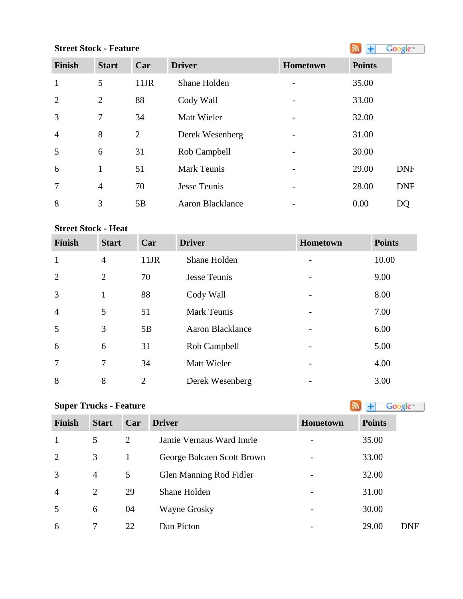# **StreetStock - Feature Street Stock - Feature**

| <b>Finish</b>  | <b>Start</b>   | Car            | <b>Driver</b>      | <b>Hometown</b> | <b>Points</b> |            |
|----------------|----------------|----------------|--------------------|-----------------|---------------|------------|
| $\mathbf{1}$   | 5              | $11$ JR        | Shane Holden       |                 | 35.00         |            |
| 2              | 2              | 88             | Cody Wall          |                 | 33.00         |            |
| $\overline{3}$ | 7              | 34             | <b>Matt Wieler</b> |                 | 32.00         |            |
| $\overline{4}$ | 8              | $\overline{2}$ | Derek Wesenberg    |                 | 31.00         |            |
| 5              | 6              | 31             | Rob Campbell       |                 | 30.00         |            |
| 6              | 1              | 51             | <b>Mark Teunis</b> |                 | 29.00         | <b>DNF</b> |
| $\overline{7}$ | $\overline{4}$ | 70             | Jesse Teunis       |                 | 28.00         | <b>DNF</b> |
| 8              | 3              | 5B             | Aaron Blacklance   |                 | 0.00          | DQ         |

# **Street Stock - Heat**

| <b>Finish</b>  | <b>Start</b>   | Car            | <b>Driver</b>           | <b>Hometown</b>          | <b>Points</b> |
|----------------|----------------|----------------|-------------------------|--------------------------|---------------|
| $\mathbf{1}$   | $\overline{4}$ | $11$ JR        | Shane Holden            |                          | 10.00         |
| $\overline{2}$ | $\overline{2}$ | 70             | Jesse Teunis            |                          | 9.00          |
| 3              | 1              | 88             | Cody Wall               | $\overline{\phantom{a}}$ | 8.00          |
| $\overline{4}$ | 5              | 51             | <b>Mark Teunis</b>      |                          | 7.00          |
| 5              | 3              | 5B             | <b>Aaron Blacklance</b> |                          | 6.00          |
| 6              | 6              | 31             | Rob Campbell            |                          | 5.00          |
| $\overline{7}$ | 7              | 34             | Matt Wieler             |                          | 4.00          |
| 8              | 8              | $\overline{2}$ | Derek Wesenberg         |                          | 3.00          |

| <b>Super Trucks - Feature</b><br>Google <sup>®</sup> |                |     |                            |                 |               |            |  |  |
|------------------------------------------------------|----------------|-----|----------------------------|-----------------|---------------|------------|--|--|
| <b>Finish</b>                                        | <b>Start</b>   | Car | <b>Driver</b>              | <b>Hometown</b> | <b>Points</b> |            |  |  |
| $\mathbf{1}$                                         | 5              | 2   | Jamie Vernaus Ward Imrie   |                 | 35.00         |            |  |  |
| $\overline{2}$                                       | 3              | 1   | George Balcaen Scott Brown |                 | 33.00         |            |  |  |
| 3                                                    | $\overline{4}$ | 5   | Glen Manning Rod Fidler    |                 | 32.00         |            |  |  |
| $\overline{4}$                                       | $\overline{2}$ | 29  | Shane Holden               |                 | 31.00         |            |  |  |
| 5                                                    | 6              | 04  | Wayne Grosky               |                 | 30.00         |            |  |  |
| 6                                                    | 7              | 22  | Dan Picton                 |                 | 29.00         | <b>DNF</b> |  |  |